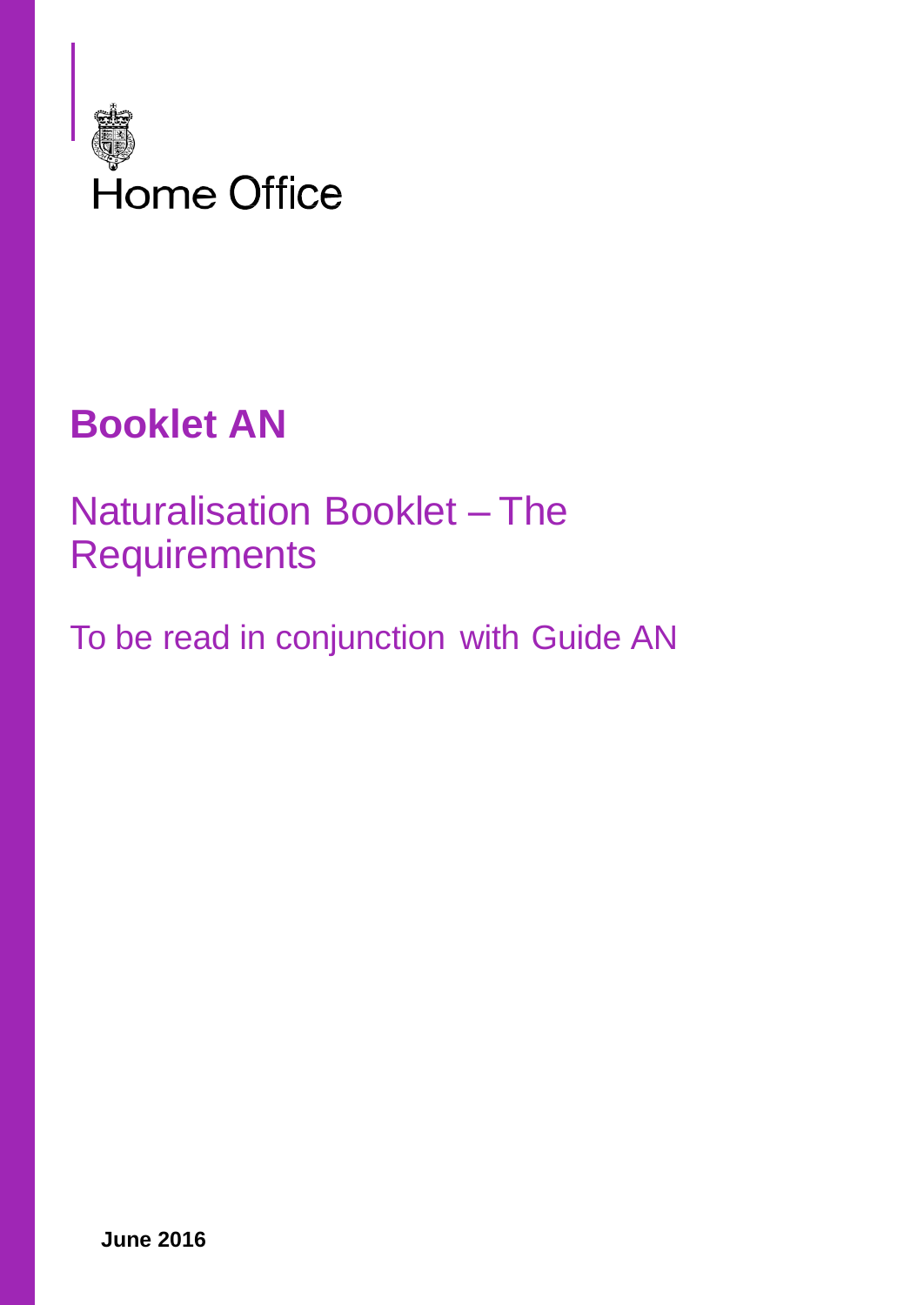

# **Booklet AN**

## Naturalisation Booklet – The **Requirements**

To be read in conjunction with Guide AN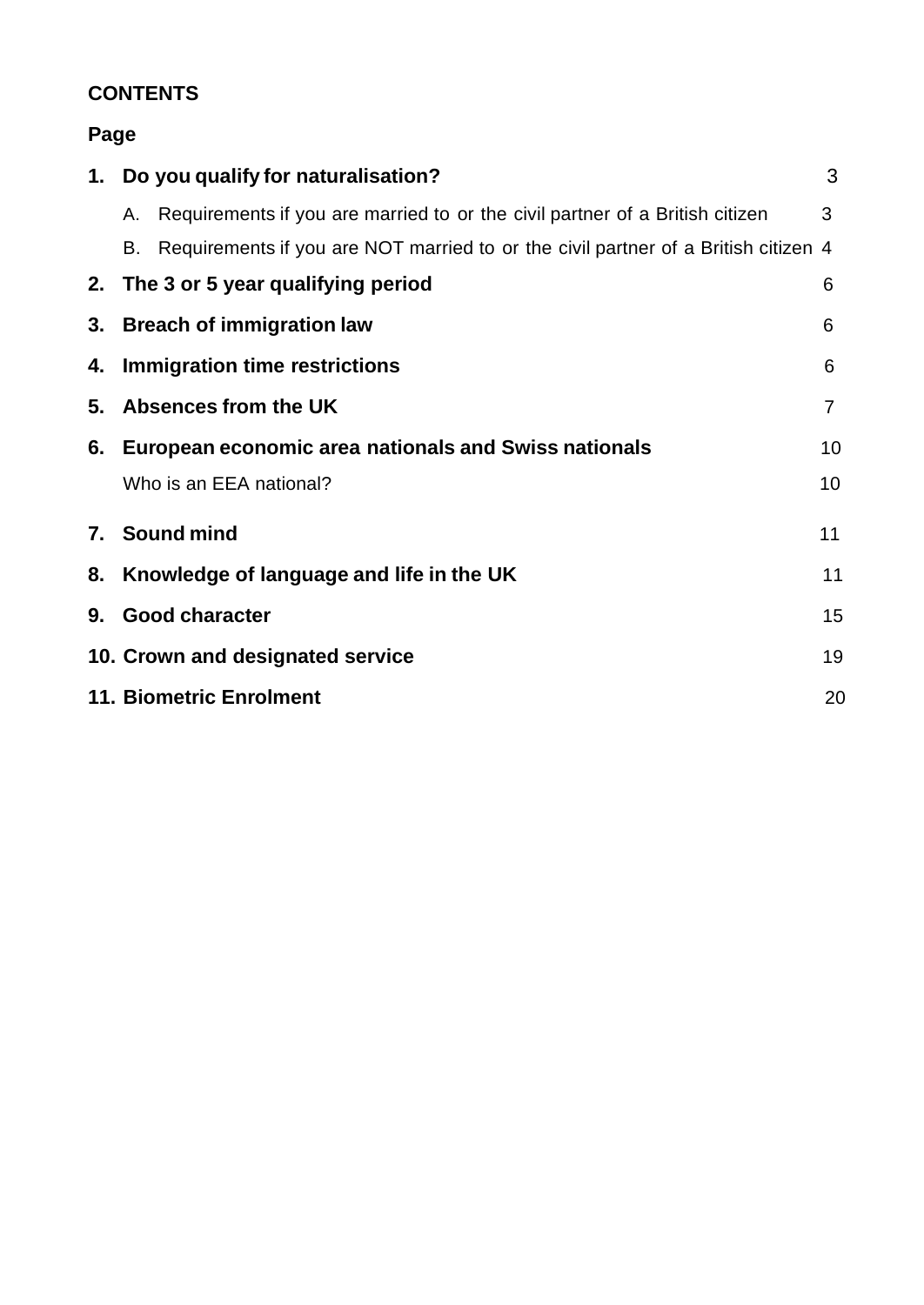## **CONTENTS**

## **Page**

|    | 1. Do you qualify for naturalisation?                                              | 3              |
|----|------------------------------------------------------------------------------------|----------------|
| А. | Requirements if you are married to or the civil partner of a British citizen       | 3              |
| В. | Requirements if you are NOT married to or the civil partner of a British citizen 4 |                |
|    | 2. The 3 or 5 year qualifying period                                               | 6              |
|    | 3. Breach of immigration law                                                       | 6              |
|    | 4. Immigration time restrictions                                                   | 6              |
|    | 5. Absences from the UK                                                            | $\overline{7}$ |
|    | 6. European economic area nationals and Swiss nationals                            | 10             |
|    | Who is an EEA national?                                                            | 10             |
|    | 7. Sound mind                                                                      | 11             |
|    | 8. Knowledge of language and life in the UK                                        | 11             |
|    | 9. Good character                                                                  | 15             |
|    | 10. Crown and designated service                                                   | 19             |
|    | <b>11. Biometric Enrolment</b>                                                     | 20             |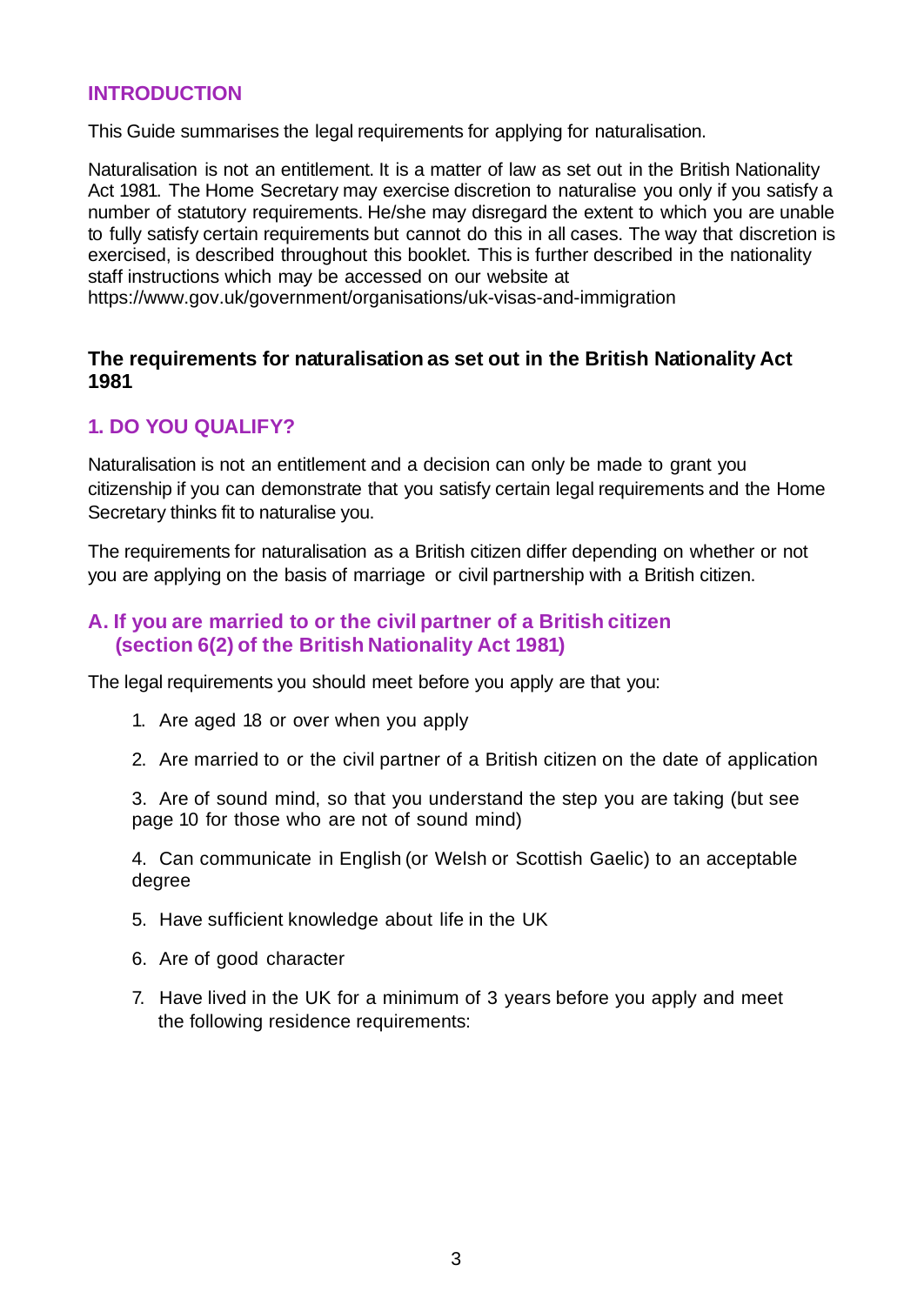#### **INTRODUCTION**

This Guide summarises the legal requirements for applying for naturalisation.

Naturalisation is not an entitlement. It is a matter of law as set out in the British Nationality Act 1981. The Home Secretary may exercise discretion to naturalise you only if you satisfy a number of statutory requirements. He/she may disregard the extent to which you are unable to fully satisfy certain requirements but cannot do this in all cases. The way that discretion is exercised, is described throughout this booklet. This is further described in the nationality staff instructions which may be accessed on our website at

https://www.gov.uk/government/organisations/uk-visas-and-immigration

#### **The requirements for naturalisation as set out in the British Nationality Act 1981**

### **1. DO YOU QUALIFY?**

Naturalisation is not an entitlement and a decision can only be made to grant you citizenship if you can demonstrate that you satisfy certain legal requirements and the Home Secretary thinks fit to naturalise you.

The requirements for naturalisation as a British citizen differ depending on whether or not you are applying on the basis of marriage or civil partnership with a British citizen.

### **A. If you are married to or the civil partner of a British citizen (section 6(2) of the British Nationality Act 1981)**

The legal requirements you should meet before you apply are that you:

- 1. Are aged 18 or over when you apply
- 2. Are married to or the civil partner of a British citizen on the date of application

3. Are of sound mind, so that you understand the step you are taking (but see page 10 for those who are not of sound mind)

4. Can communicate in English (or Welsh or Scottish Gaelic) to an acceptable degree

- 5. Have sufficient knowledge about life in the UK
- 6. Are of good character
- 7. Have lived in the UK for a minimum of 3 years before you apply and meet the following residence requirements: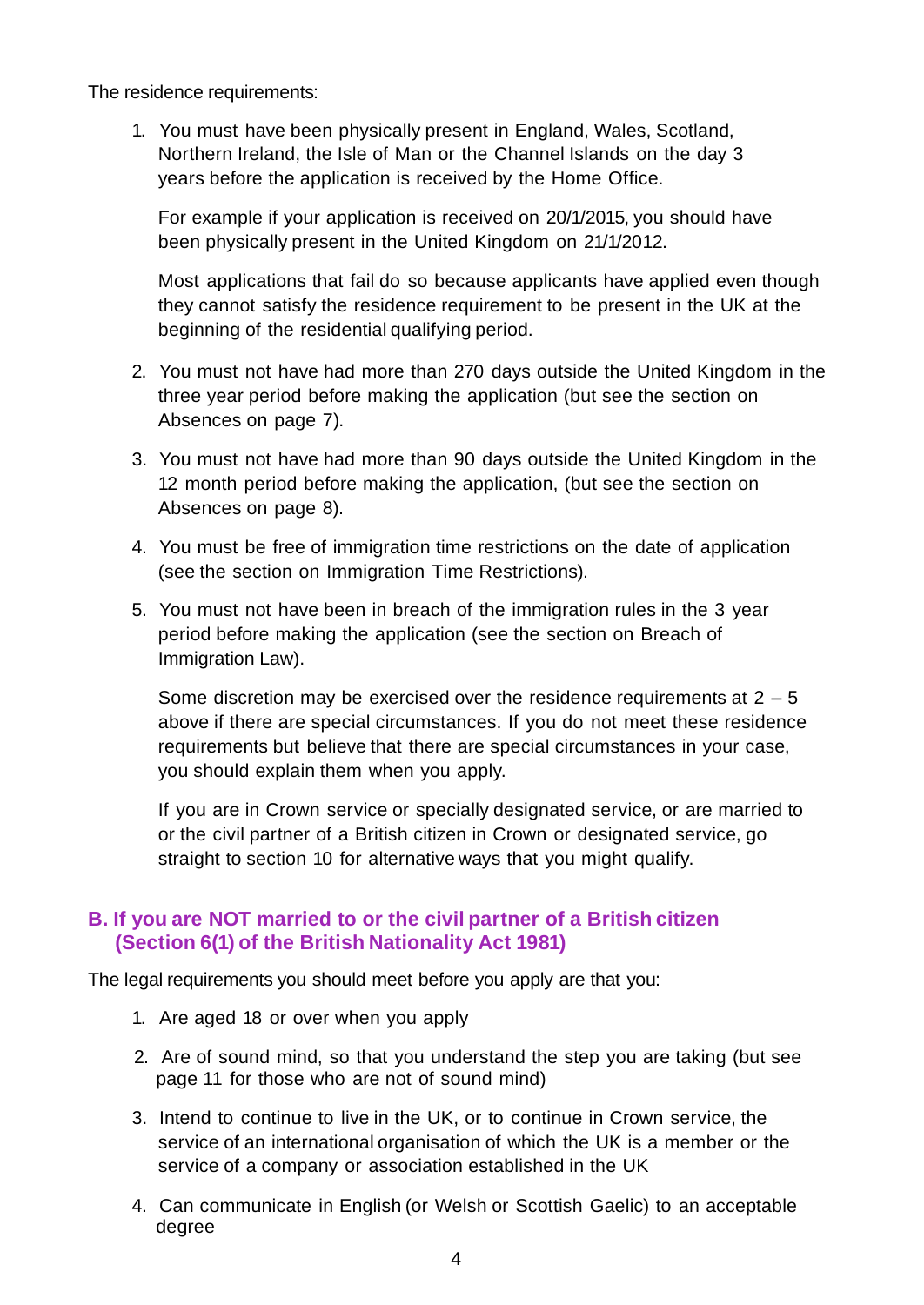The residence requirements:

1. You must have been physically present in England, Wales, Scotland, Northern Ireland, the Isle of Man or the Channel Islands on the day 3 years before the application is received by the Home Office.

For example if your application is received on 20/1/2015, you should have been physically present in the United Kingdom on 21/1/2012.

Most applications that fail do so because applicants have applied even though they cannot satisfy the residence requirement to be present in the UK at the beginning of the residential qualifying period.

- 2. You must not have had more than 270 days outside the United Kingdom in the three year period before making the application (but see the section on Absences on page 7).
- 3. You must not have had more than 90 days outside the United Kingdom in the 12 month period before making the application, (but see the section on Absences on page 8).
- 4. You must be free of immigration time restrictions on the date of application (see the section on Immigration Time Restrictions).
- 5. You must not have been in breach of the immigration rules in the 3 year period before making the application (see the section on Breach of Immigration Law).

Some discretion may be exercised over the residence requirements at  $2 - 5$ above if there are special circumstances. If you do not meet these residence requirements but believe that there are special circumstances in your case, you should explain them when you apply.

If you are in Crown service or specially designated service, or are married to or the civil partner of a British citizen in Crown or designated service, go straight to section 10 for alternative ways that you might qualify.

## **B. If you are NOT married to or the civil partner of a British citizen (Section 6(1) of the British Nationality Act 1981)**

The legal requirements you should meet before you apply are that you:

- 1. Are aged 18 or over when you apply
- 2. Are of sound mind, so that you understand the step you are taking (but see page 11 for those who are not of sound mind)
- 3. Intend to continue to live in the UK, or to continue in Crown service, the service of an international organisation of which the UK is a member or the service of a company or association established in the UK
- 4. Can communicate in English (or Welsh or Scottish Gaelic) to an acceptable degree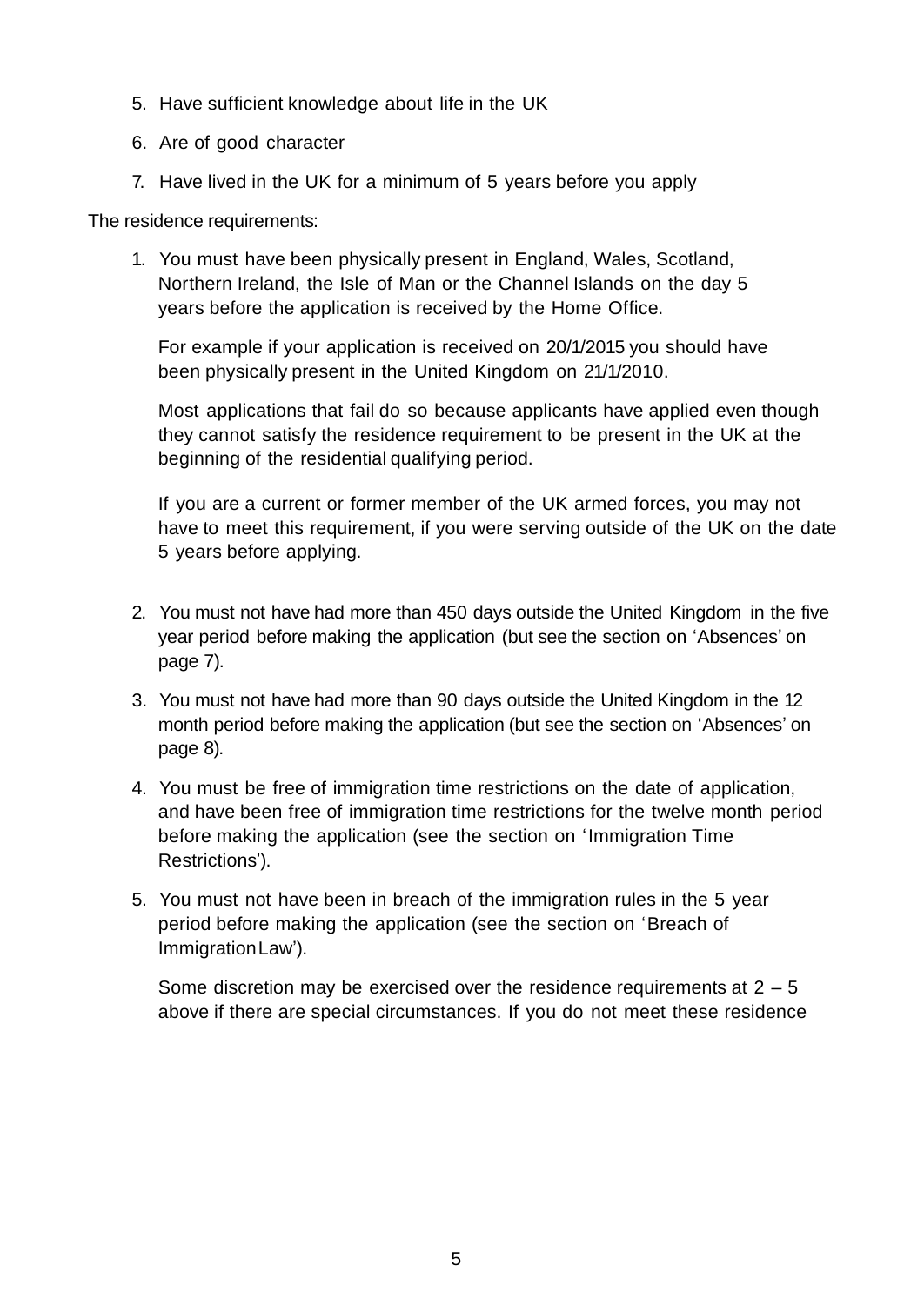- 5. Have sufficient knowledge about life in the UK
- 6. Are of good character
- 7. Have lived in the UK for a minimum of 5 years before you apply

The residence requirements:

1. You must have been physically present in England, Wales, Scotland, Northern Ireland, the Isle of Man or the Channel Islands on the day 5 years before the application is received by the Home Office.

For example if your application is received on 20/1/2015 you should have been physically present in the United Kingdom on 21/1/2010.

Most applications that fail do so because applicants have applied even though they cannot satisfy the residence requirement to be present in the UK at the beginning of the residential qualifying period.

If you are a current or former member of the UK armed forces, you may not have to meet this requirement, if you were serving outside of the UK on the date 5 years before applying.

- 2. You must not have had more than 450 days outside the United Kingdom in the five year period before making the application (but see the section on 'Absences' on page 7).
- 3. You must not have had more than 90 days outside the United Kingdom in the 12 month period before making the application (but see the section on 'Absences' on page 8).
- 4. You must be free of immigration time restrictions on the date of application, and have been free of immigration time restrictions for the twelve month period before making the application (see the section on 'Immigration Time Restrictions').
- 5. You must not have been in breach of the immigration rules in the 5 year period before making the application (see the section on 'Breach of ImmigrationLaw').

Some discretion may be exercised over the residence requirements at  $2 - 5$ above if there are special circumstances. If you do not meet these residence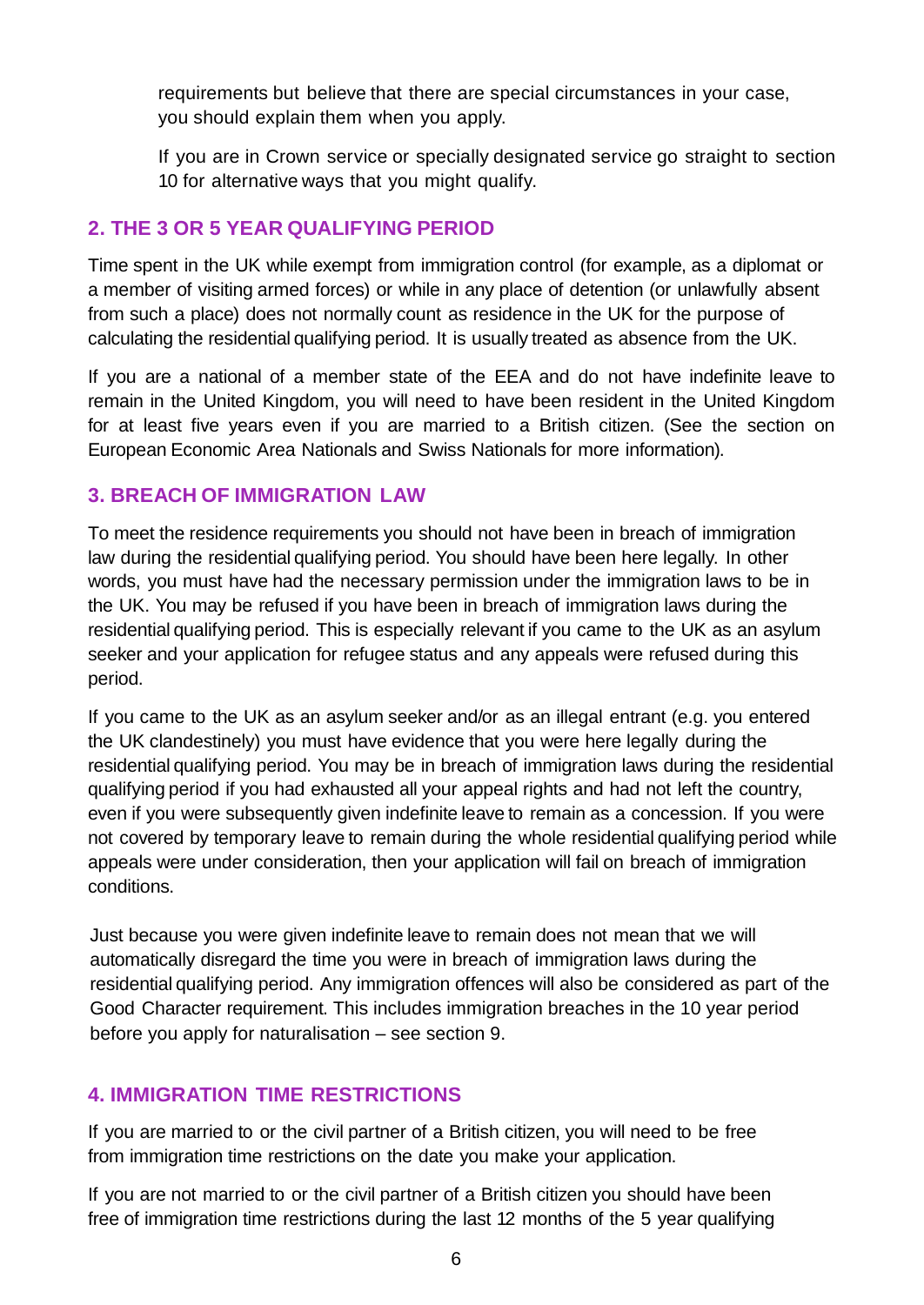requirements but believe that there are special circumstances in your case, you should explain them when you apply.

If you are in Crown service or specially designated service go straight to section 10 for alternative ways that you might qualify.

## **2. THE 3 OR 5 YEAR QUALIFYING PERIOD**

Time spent in the UK while exempt from immigration control (for example, as a diplomat or a member of visiting armed forces) or while in any place of detention (or unlawfully absent from such a place) does not normally count as residence in the UK for the purpose of calculating the residential qualifying period. It is usually treated as absence from the UK.

If you are a national of a member state of the EEA and do not have indefinite leave to remain in the United Kingdom, you will need to have been resident in the United Kingdom for at least five years even if you are married to a British citizen. (See the section on European Economic Area Nationals and Swiss Nationals for more information).

### **3. BREACH OF IMMIGRATION LAW**

To meet the residence requirements you should not have been in breach of immigration law during the residential qualifying period. You should have been here legally. In other words, you must have had the necessary permission under the immigration laws to be in the UK. You may be refused if you have been in breach of immigration laws during the residential qualifying period. This is especially relevant if you came to the UK as an asylum seeker and your application for refugee status and any appeals were refused during this period.

If you came to the UK as an asylum seeker and/or as an illegal entrant (e.g. you entered the UK clandestinely) you must have evidence that you were here legally during the residential qualifying period. You may be in breach of immigration laws during the residential qualifying period if you had exhausted all your appeal rights and had not left the country, even if you were subsequently given indefinite leave to remain as a concession. If you were not covered by temporary leave to remain during the whole residential qualifying period while appeals were under consideration, then your application will fail on breach of immigration conditions.

Just because you were given indefinite leave to remain does not mean that we will automatically disregard the time you were in breach of immigration laws during the residential qualifying period. Any immigration offences will also be considered as part of the Good Character requirement. This includes immigration breaches in the 10 year period before you apply for naturalisation – see section 9.

## **4. IMMIGRATION TIME RESTRICTIONS**

If you are married to or the civil partner of a British citizen, you will need to be free from immigration time restrictions on the date you make your application.

If you are not married to or the civil partner of a British citizen you should have been free of immigration time restrictions during the last 12 months of the 5 year qualifying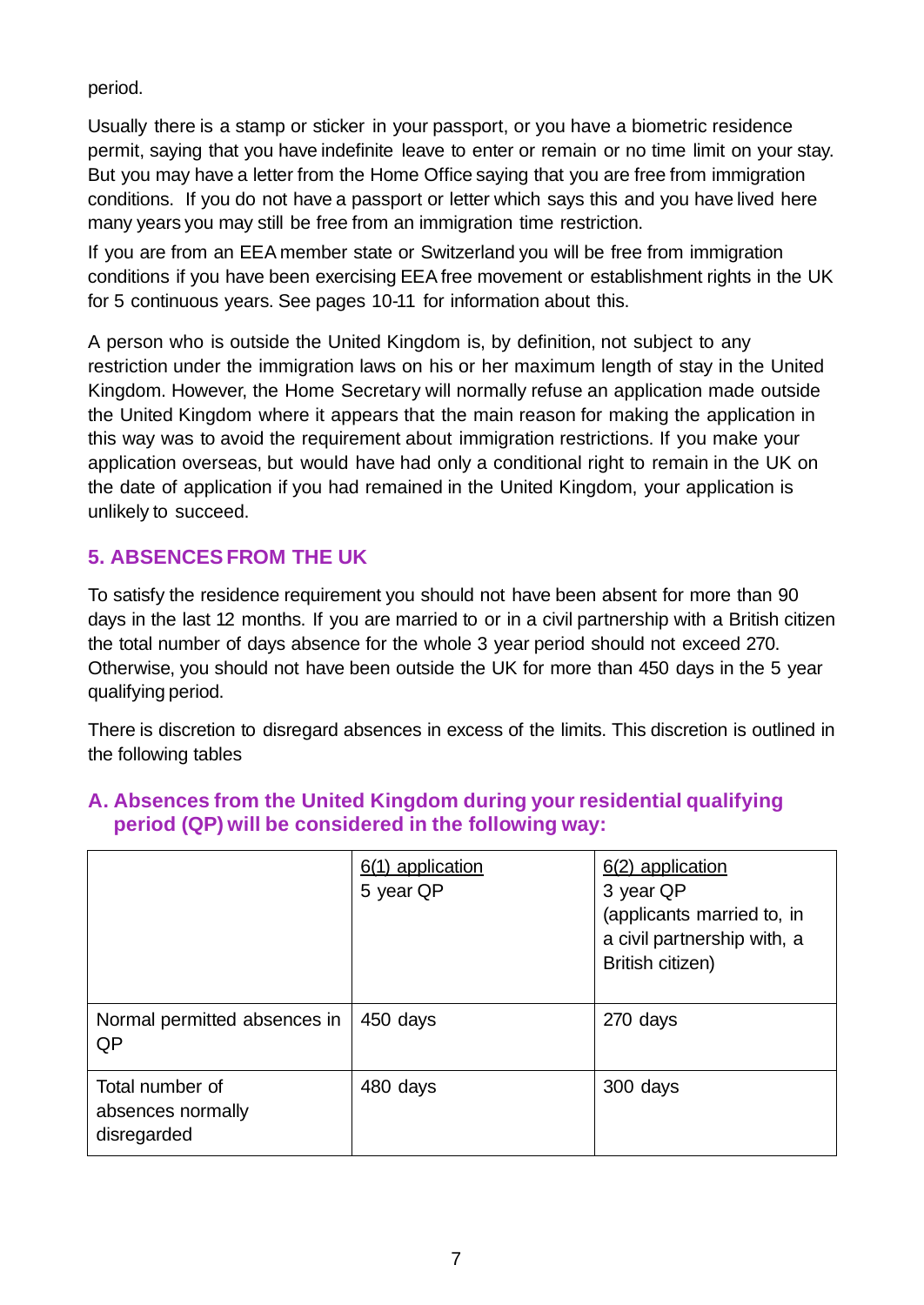period.

Usually there is a stamp or sticker in your passport, or you have a biometric residence permit, saying that you have indefinite leave to enter or remain or no time limit on your stay. But you may have a letter from the Home Office saying that you are free from immigration conditions. If you do not have a passport or letter which says this and you have lived here many years you may still be free from an immigration time restriction.

If you are from an EEA member state or Switzerland you will be free from immigration conditions if you have been exercising EEA free movement or establishment rights in the UK for 5 continuous years. See pages 10-11 for information about this.

A person who is outside the United Kingdom is, by definition, not subject to any restriction under the immigration laws on his or her maximum length of stay in the United Kingdom. However, the Home Secretary will normally refuse an application made outside the United Kingdom where it appears that the main reason for making the application in this way was to avoid the requirement about immigration restrictions. If you make your application overseas, but would have had only a conditional right to remain in the UK on the date of application if you had remained in the United Kingdom, your application is unlikely to succeed.

## **5. ABSENCES FROM THE UK**

To satisfy the residence requirement you should not have been absent for more than 90 days in the last 12 months. If you are married to or in a civil partnership with a British citizen the total number of days absence for the whole 3 year period should not exceed 270. Otherwise, you should not have been outside the UK for more than 450 days in the 5 year qualifying period.

There is discretion to disregard absences in excess of the limits. This discretion is outlined in the following tables

|                                                     | 6(1) application<br>5 year QP | 6(2) application<br>3 year QP<br>(applicants married to, in<br>a civil partnership with, a<br>British citizen) |
|-----------------------------------------------------|-------------------------------|----------------------------------------------------------------------------------------------------------------|
| Normal permitted absences in<br>QP                  | 450 days                      | 270 days                                                                                                       |
| Total number of<br>absences normally<br>disregarded | 480 days                      | 300 days                                                                                                       |

## **A. Absences from the United Kingdom during your residential qualifying period (QP) will be considered in the following way:**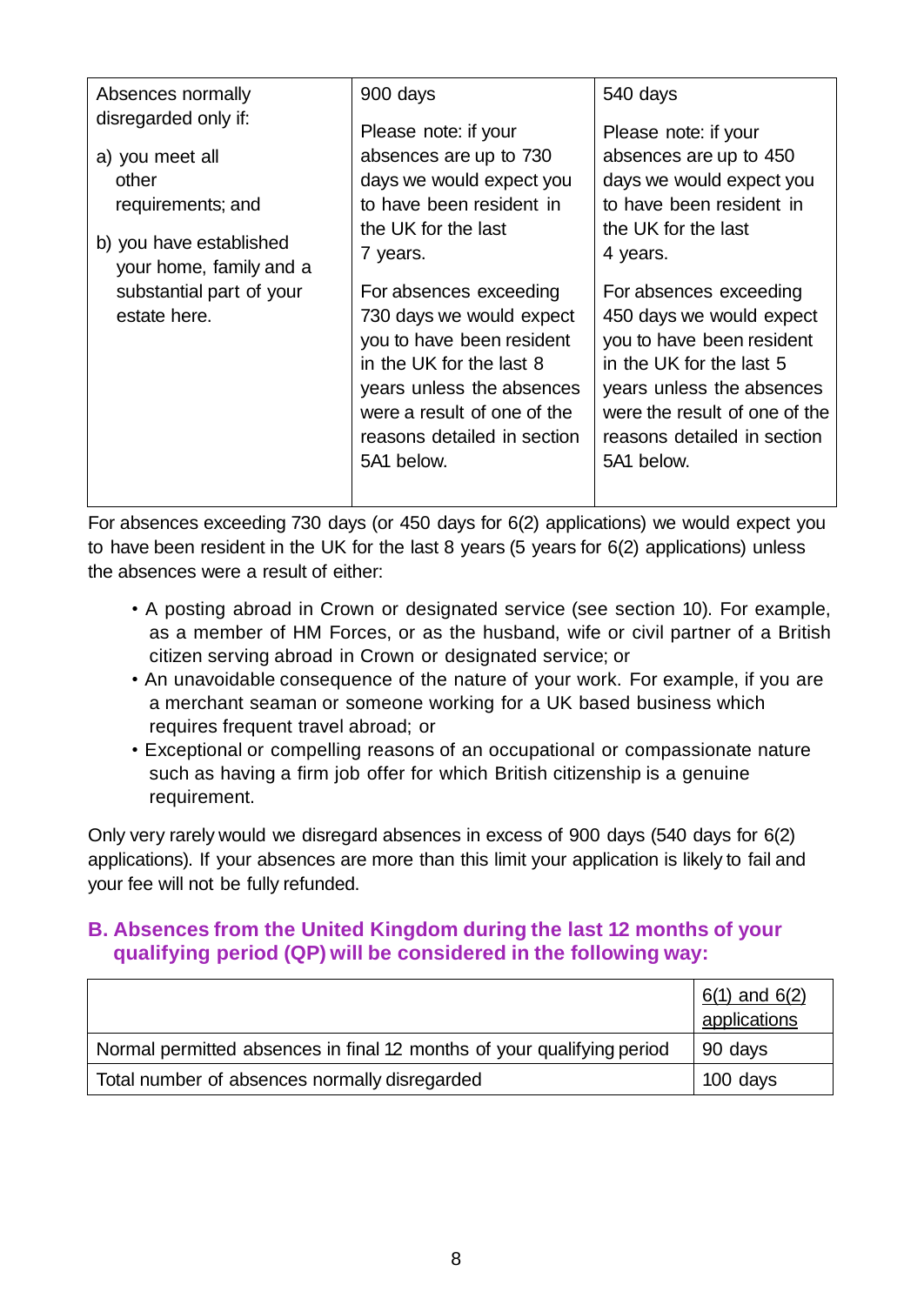| Absences normally                                  | 900 days                    | 540 days                      |
|----------------------------------------------------|-----------------------------|-------------------------------|
| disregarded only if:                               | Please note: if your        | Please note: if your          |
| a) you meet all                                    | absences are up to 730      | absences are up to 450        |
| other                                              | days we would expect you    | days we would expect you      |
| requirements; and                                  | to have been resident in    | to have been resident in      |
|                                                    | the UK for the last         | the UK for the last           |
| b) you have established<br>your home, family and a | 7 years.                    | 4 years.                      |
| substantial part of your                           | For absences exceeding      | For absences exceeding        |
| estate here.                                       | 730 days we would expect    | 450 days we would expect      |
|                                                    | you to have been resident   | you to have been resident     |
|                                                    | in the UK for the last 8    | in the UK for the last 5      |
|                                                    | years unless the absences   | years unless the absences     |
|                                                    | were a result of one of the | were the result of one of the |
|                                                    | reasons detailed in section | reasons detailed in section   |
|                                                    | 5A1 below.                  | 5A1 below.                    |
|                                                    |                             |                               |
|                                                    |                             |                               |

For absences exceeding 730 days (or 450 days for 6(2) applications) we would expect you to have been resident in the UK for the last 8 years (5 years for 6(2) applications) unless the absences were a result of either:

- A posting abroad in Crown or designated service (see section 10). For example, as a member of HM Forces, or as the husband, wife or civil partner of a British citizen serving abroad in Crown or designated service; or
- An unavoidable consequence of the nature of your work. For example, if you are a merchant seaman or someone working for a UK based business which requires frequent travel abroad; or
- Exceptional or compelling reasons of an occupational or compassionate nature such as having a firm job offer for which British citizenship is a genuine requirement.

Only very rarely would we disregard absences in excess of 900 days (540 days for 6(2) applications). If your absences are more than this limit your application is likely to fail and your fee will not be fully refunded.

## **B. Absences from the United Kingdom during the last 12 months of your qualifying period (QP) will be considered in the following way:**

|                                                                        | $6(1)$ and $6(2)$<br>applications |
|------------------------------------------------------------------------|-----------------------------------|
| Normal permitted absences in final 12 months of your qualifying period | 90 days                           |
| Total number of absences normally disregarded                          | 100 days                          |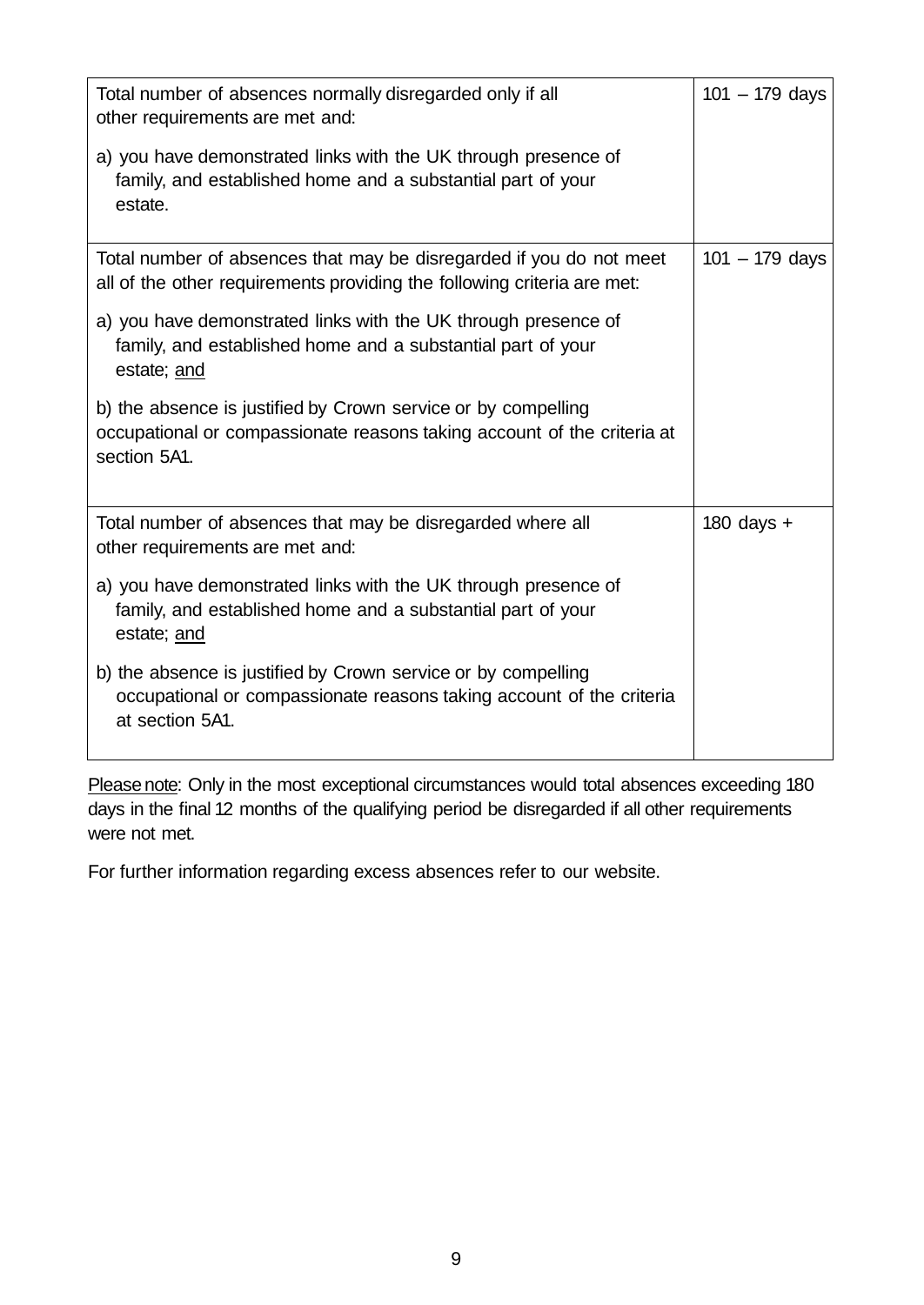| Total number of absences normally disregarded only if all<br>other requirements are met and:                                                             | $101 - 179$ days |
|----------------------------------------------------------------------------------------------------------------------------------------------------------|------------------|
| a) you have demonstrated links with the UK through presence of<br>family, and established home and a substantial part of your<br>estate.                 |                  |
| Total number of absences that may be disregarded if you do not meet<br>all of the other requirements providing the following criteria are met:           | $101 - 179$ days |
| a) you have demonstrated links with the UK through presence of<br>family, and established home and a substantial part of your<br>estate; and             |                  |
| b) the absence is justified by Crown service or by compelling<br>occupational or compassionate reasons taking account of the criteria at<br>section 5A1. |                  |
| Total number of absences that may be disregarded where all<br>other requirements are met and:                                                            | 180 days $+$     |
| a) you have demonstrated links with the UK through presence of<br>family, and established home and a substantial part of your<br>estate; and             |                  |
| b) the absence is justified by Crown service or by compelling<br>occupational or compassionate reasons taking account of the criteria<br>at section 5A1. |                  |
|                                                                                                                                                          |                  |

Please note: Only in the most exceptional circumstances would total absences exceeding 180 days in the final 12 months of the qualifying period be disregarded if all other requirements were not met.

For further information regarding excess absences refer to our website.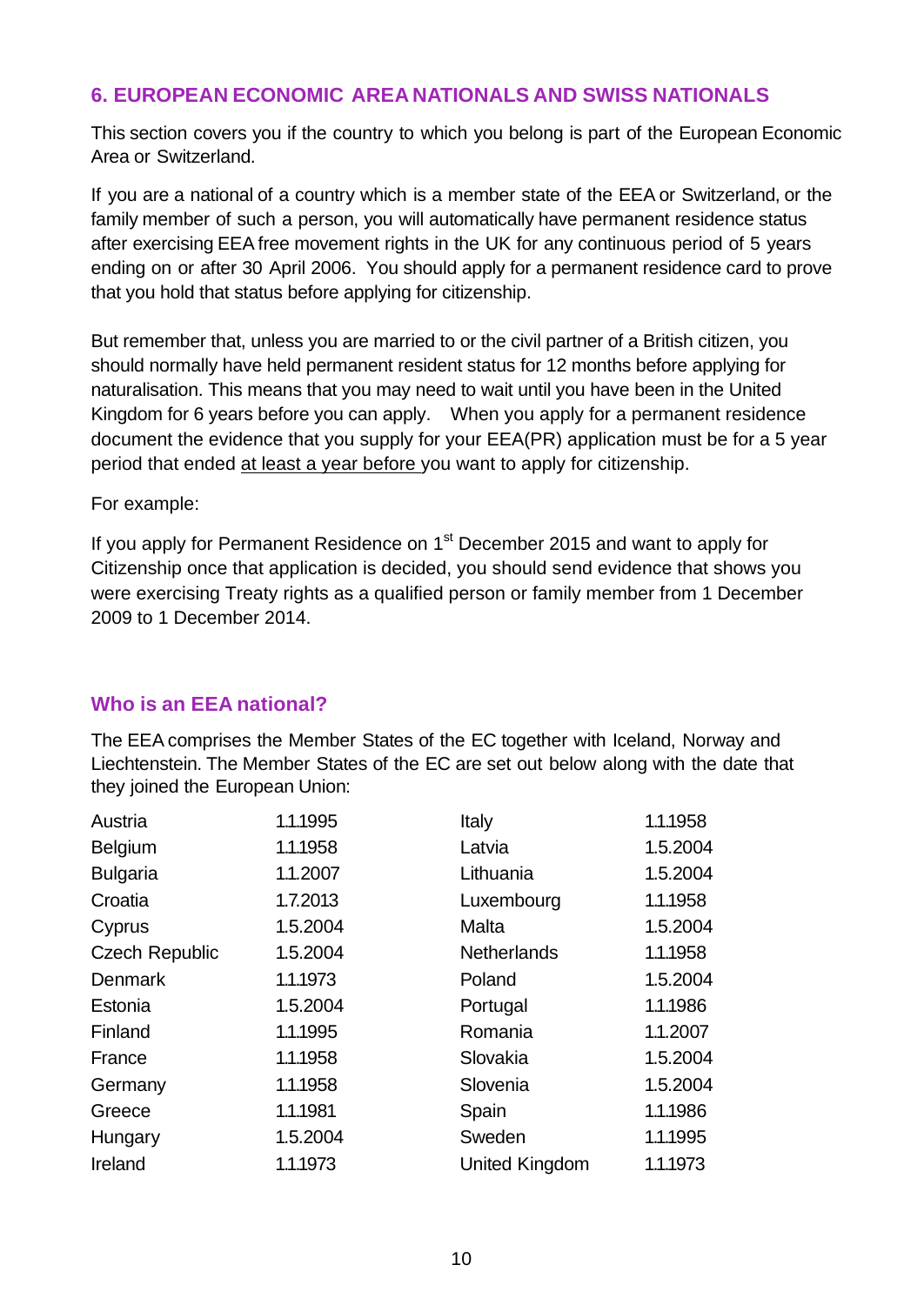## **6. EUROPEAN ECONOMIC AREA NATIONALS AND SWISS NATIONALS**

This section covers you if the country to which you belong is part of the European Economic Area or Switzerland.

If you are a national of a country which is a member state of the EEA or Switzerland, or the family member of such a person, you will automatically have permanent residence status after exercising EEA free movement rights in the UK for any continuous period of 5 years ending on or after 30 April 2006. You should apply for a permanent residence card to prove that you hold that status before applying for citizenship.

But remember that, unless you are married to or the civil partner of a British citizen, you should normally have held permanent resident status for 12 months before applying for naturalisation. This means that you may need to wait until you have been in the United Kingdom for 6 years before you can apply. When you apply for a permanent residence document the evidence that you supply for your EEA(PR) application must be for a 5 year period that ended at least a year before you want to apply for citizenship.

For example:

If you apply for Permanent Residence on  $1<sup>st</sup>$  December 2015 and want to apply for Citizenship once that application is decided, you should send evidence that shows you were exercising Treaty rights as a qualified person or family member from 1 December 2009 to 1 December 2014.

#### **Who is an EEA national?**

The EEA comprises the Member States of the EC together with Iceland, Norway and Liechtenstein. The Member States of the EC are set out below along with the date that they joined the European Union:

| Austria               | 1.1.1995 | Italy                 | 1.1.1958 |
|-----------------------|----------|-----------------------|----------|
| <b>Belgium</b>        | 1.1.1958 | Latvia                | 1.5.2004 |
| <b>Bulgaria</b>       | 1.1.2007 | Lithuania             | 1.5.2004 |
| Croatia               | 1.7.2013 | Luxembourg            | 1.1.1958 |
| Cyprus                | 1.5.2004 | Malta                 | 1.5.2004 |
| <b>Czech Republic</b> | 1.5.2004 | <b>Netherlands</b>    | 1.1.1958 |
| <b>Denmark</b>        | 1.1.1973 | Poland                | 1.5.2004 |
| Estonia               | 1.5.2004 | Portugal              | 1.1.1986 |
| Finland               | 1.1.1995 | Romania               | 1.1.2007 |
| France                | 1.1.1958 | Slovakia              | 1.5.2004 |
| Germany               | 1.1.1958 | Slovenia              | 1.5.2004 |
| Greece                | 1.1.1981 | Spain                 | 1.1.1986 |
| Hungary               | 1.5.2004 | Sweden                | 1.1.1995 |
| Ireland               | 1.1.1973 | <b>United Kingdom</b> | 1.1.1973 |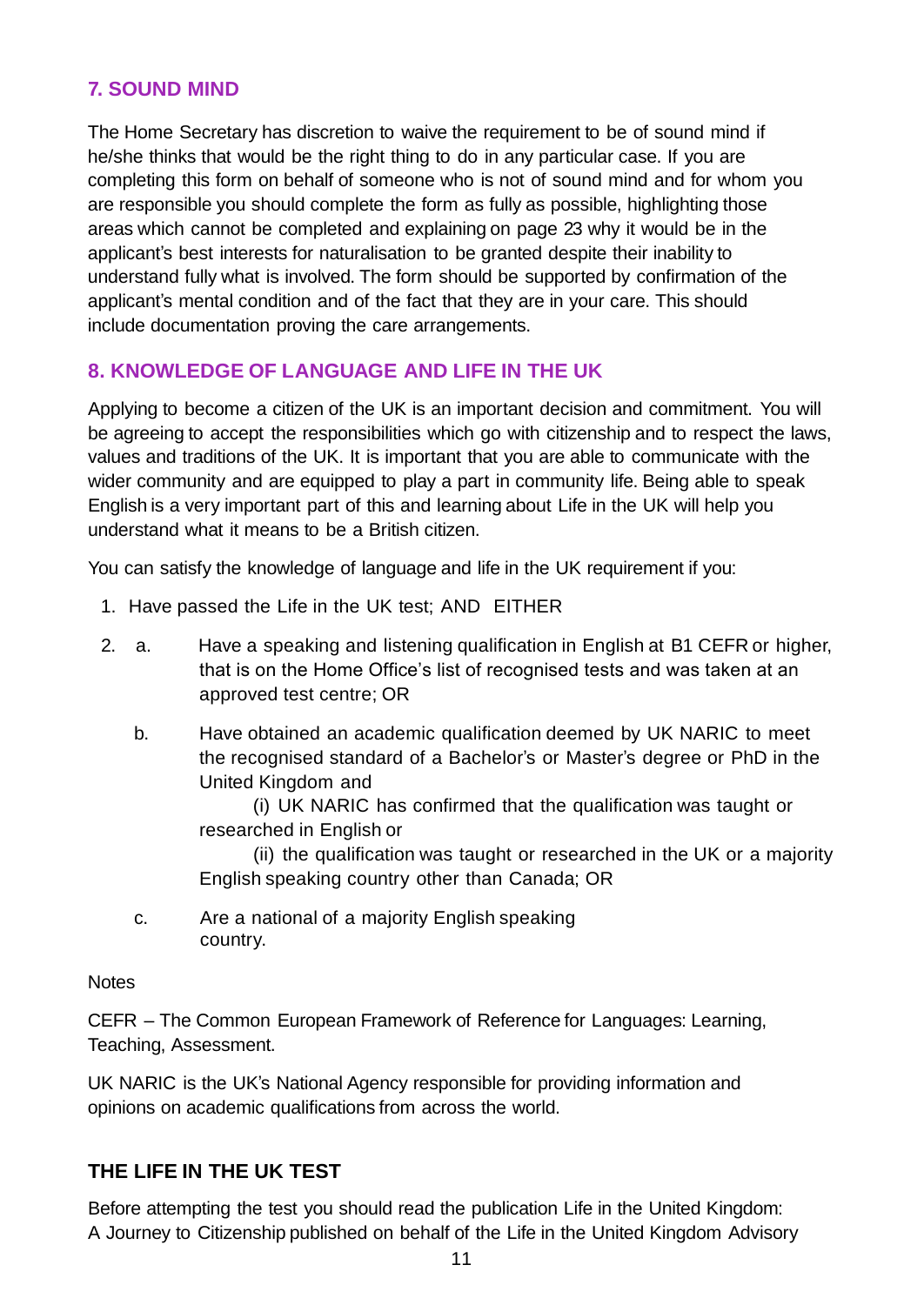## **7. SOUND MIND**

The Home Secretary has discretion to waive the requirement to be of sound mind if he/she thinks that would be the right thing to do in any particular case. If you are completing this form on behalf of someone who is not of sound mind and for whom you are responsible you should complete the form as fully as possible, highlighting those areas which cannot be completed and explaining on page 23 why it would be in the applicant's best interests for naturalisation to be granted despite their inability to understand fully what is involved. The form should be supported by confirmation of the applicant's mental condition and of the fact that they are in your care. This should include documentation proving the care arrangements.

## **8. KNOWLEDGE OF LANGUAGE AND LIFE IN THE UK**

Applying to become a citizen of the UK is an important decision and commitment. You will be agreeing to accept the responsibilities which go with citizenship and to respect the laws, values and traditions of the UK. It is important that you are able to communicate with the wider community and are equipped to play a part in community life. Being able to speak English is a very important part of this and learning about Life in the UK will help you understand what it means to be a British citizen.

You can satisfy the knowledge of language and life in the UK requirement if you:

- 1. Have passed the Life in the UK test; AND EITHER
- 2. a. Have a speaking and listening qualification in English at B1 CEFR or higher, that is on the Home Office's list of recognised tests and was taken at an approved test centre; OR
	- b. Have obtained an academic qualification deemed by UK NARIC to meet the recognised standard of a Bachelor's or Master's degree or PhD in the United Kingdom and

(i) UK NARIC has confirmed that the qualification was taught or researched in English or

(ii) the qualification was taught or researched in the UK or a majority English speaking country other than Canada; OR

c. Are a national of a majority English speaking country.

#### **Notes**

CEFR – The Common European Framework of Reference for Languages: Learning, Teaching, Assessment.

UK NARIC is the UK's National Agency responsible for providing information and opinions on academic qualifications from across the world.

## **THE LIFE IN THE UK TEST**

Before attempting the test you should read the publication Life in the United Kingdom: A Journey to Citizenship published on behalf of the Life in the United Kingdom Advisory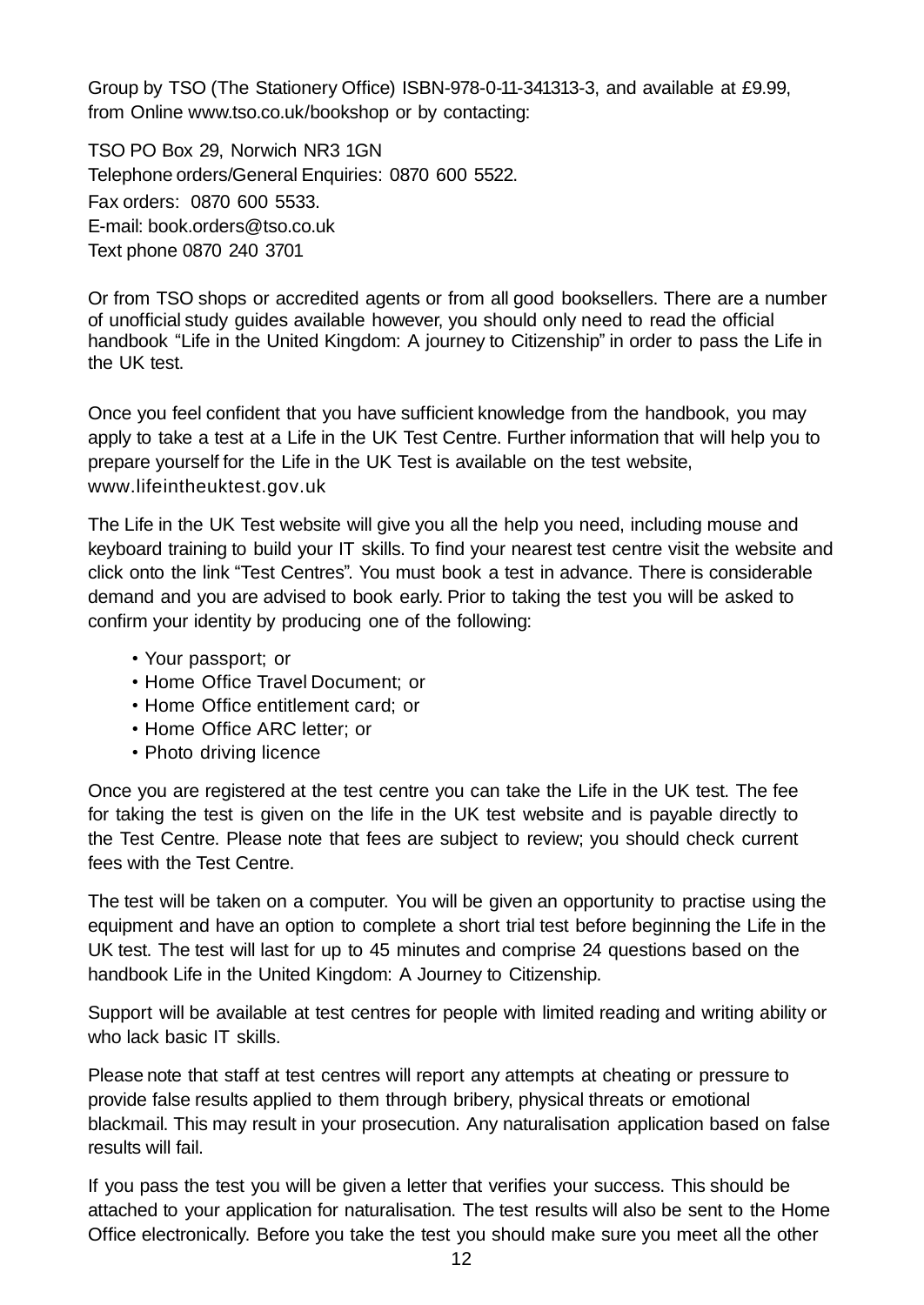Group by TSO (The Stationery Office) ISBN-978-0-11-341313-3, and available at £9.99, from Online [www.tso.co.uk/bookshop](http://www.tso.co.uk/bookshop) or by contacting:

TSO PO Box 29, Norwich NR3 1GN Telephone orders/General Enquiries: 0870 600 5522. Fax orders: 0870 600 5533. E-mail: [book.orders@tso.co.uk](mailto:book.orders@tso.co.uk) Text phone 0870 240 3701

Or from TSO shops or accredited agents or from all good booksellers. There are a number of unofficial study guides available however, you should only need to read the official handbook "Life in the United Kingdom: A journey to Citizenship" in order to pass the Life in the UK test.

Once you feel confident that you have sufficient knowledge from the handbook, you may apply to take a test at a Life in the UK Test Centre. Further information that will help you to prepare yourself for the Life in the UK Test is available on the test website, www.lifeintheuktest.gov.uk

The Life in the UK Test website will give you all the help you need, including mouse and keyboard training to build your IT skills. To find your nearest test centre visit the website and click onto the link "Test Centres". You must book a test in advance. There is considerable demand and you are advised to book early. Prior to taking the test you will be asked to confirm your identity by producing one of the following:

- Your passport; or
- Home Office Travel Document; or
- Home Office entitlement card; or
- Home Office ARC letter; or
- Photo driving licence

Once you are registered at the test centre you can take the Life in the UK test. The fee for taking the test is given on the life in the UK test website and is payable directly to the Test Centre. Please note that fees are subject to review; you should check current fees with the Test Centre.

The test will be taken on a computer. You will be given an opportunity to practise using the equipment and have an option to complete a short trial test before beginning the Life in the UK test. The test will last for up to 45 minutes and comprise 24 questions based on the handbook Life in the United Kingdom: A Journey to Citizenship.

Support will be available at test centres for people with limited reading and writing ability or who lack basic IT skills.

Please note that staff at test centres will report any attempts at cheating or pressure to provide false results applied to them through bribery, physical threats or emotional blackmail. This may result in your prosecution. Any naturalisation application based on false results will fail.

If you pass the test you will be given a letter that verifies your success. This should be attached to your application for naturalisation. The test results will also be sent to the Home Office electronically. Before you take the test you should make sure you meet all the other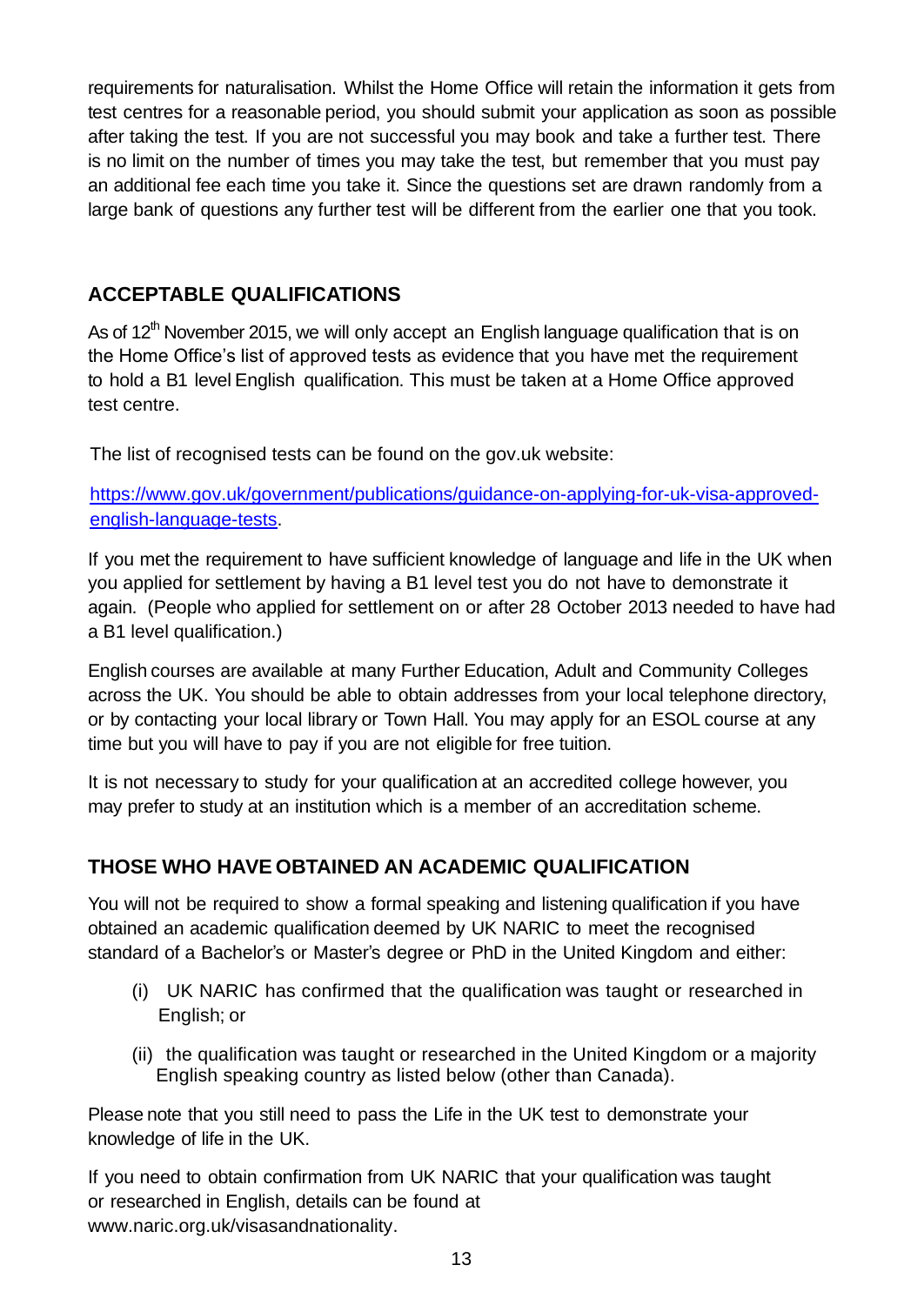requirements for naturalisation. Whilst the Home Office will retain the information it gets from test centres for a reasonable period, you should submit your application as soon as possible after taking the test. If you are not successful you may book and take a further test. There is no limit on the number of times you may take the test, but remember that you must pay an additional fee each time you take it. Since the questions set are drawn randomly from a large bank of questions any further test will be different from the earlier one that you took.

## **ACCEPTABLE QUALIFICATIONS**

As of  $12<sup>th</sup>$  November 2015, we will only accept an English language qualification that is on the Home Office's list of approved tests as evidence that you have met the requirement to hold a B1 level English qualification. This must be taken at a Home Office approved test centre.

The list of recognised tests can be found on the gov.uk website:

[https://www.gov.uk/government/publications/guidance-on-applying-for-uk-visa-approved](https://www.gov.uk/government/publications/guidance-on-applying-for-uk-visa-approved-english-language-tests)[english-language-tests.](https://www.gov.uk/government/publications/guidance-on-applying-for-uk-visa-approved-english-language-tests)

If you met the requirement to have sufficient knowledge of language and life in the UK when you applied for settlement by having a B1 level test you do not have to demonstrate it again. (People who applied for settlement on or after 28 October 2013 needed to have had a B1 level qualification.)

English courses are available at many Further Education, Adult and Community Colleges across the UK. You should be able to obtain addresses from your local telephone directory, or by contacting your local library or Town Hall. You may apply for an ESOL course at any time but you will have to pay if you are not eligible for free tuition.

It is not necessary to study for your qualification at an accredited college however, you may prefer to study at an institution which is a member of an accreditation scheme.

## **THOSE WHO HAVE OBTAINED AN ACADEMIC QUALIFICATION**

You will not be required to show a formal speaking and listening qualification if you have obtained an academic qualification deemed by UK NARIC to meet the recognised standard of a Bachelor's or Master's degree or PhD in the United Kingdom and either:

- (i) UK NARIC has confirmed that the qualification was taught or researched in English; or
- (ii) the qualification was taught or researched in the United Kingdom or a majority English speaking country as listed below (other than Canada).

Please note that you still need to pass the Life in the UK test to demonstrate your knowledge of life in the UK.

If you need to obtain confirmation from UK NARIC that your qualification was taught or researched in English, details can be found at www.naric.org.uk/visasandnationality.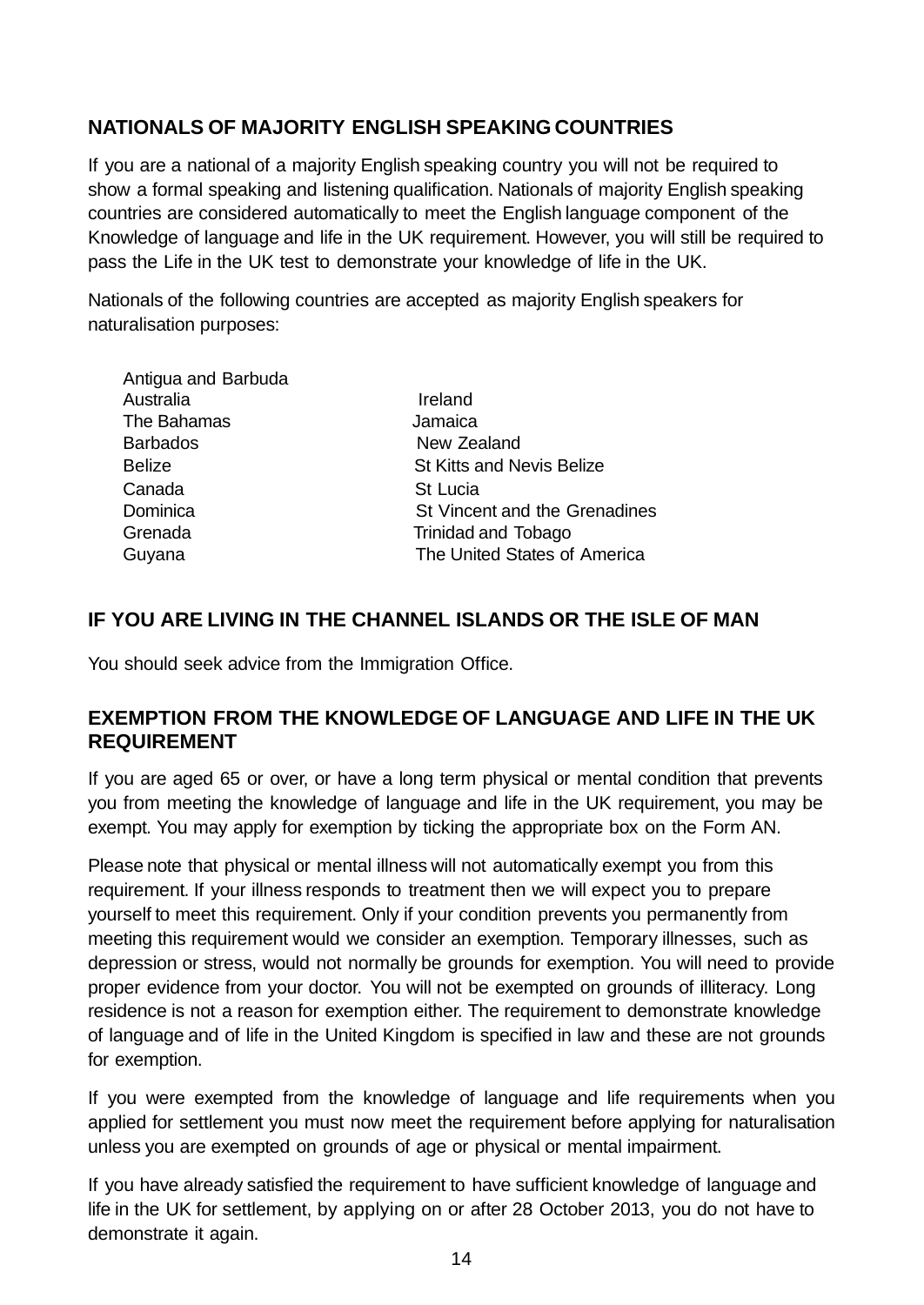## **NATIONALS OF MAJORITY ENGLISH SPEAKING COUNTRIES**

If you are a national of a majority English speaking country you will not be required to show a formal speaking and listening qualification. Nationals of majority English speaking countries are considered automatically to meet the English language component of the Knowledge of language and life in the UK requirement. However, you will still be required to pass the Life in the UK test to demonstrate your knowledge of life in the UK.

Nationals of the following countries are accepted as majority English speakers for naturalisation purposes:

| Antigua and Barbuda |                                  |
|---------------------|----------------------------------|
| Australia           | Ireland                          |
| The Bahamas         | Jamaica                          |
| <b>Barbados</b>     | New Zealand                      |
| <b>Belize</b>       | <b>St Kitts and Nevis Belize</b> |
| Canada              | St Lucia                         |
| Dominica            | St Vincent and the Grenadines    |
| Grenada             | Trinidad and Tobago              |
| Guyana              | The United States of America     |
|                     |                                  |

## **IF YOU ARE LIVING IN THE CHANNEL ISLANDS OR THE ISLE OF MAN**

You should seek advice from the Immigration Office.

Antigua and Barbuda

### **EXEMPTION FROM THE KNOWLEDGE OF LANGUAGE AND LIFE IN THE UK REQUIREMENT**

If you are aged 65 or over, or have a long term physical or mental condition that prevents you from meeting the knowledge of language and life in the UK requirement, you may be exempt. You may apply for exemption by ticking the appropriate box on the Form AN.

Please note that physical or mental illness will not automatically exempt you from this requirement. If your illness responds to treatment then we will expect you to prepare yourself to meet this requirement. Only if your condition prevents you permanently from meeting this requirement would we consider an exemption. Temporary illnesses, such as depression or stress, would not normally be grounds for exemption. You will need to provide proper evidence from your doctor. You will not be exempted on grounds of illiteracy. Long residence is not a reason for exemption either. The requirement to demonstrate knowledge of language and of life in the United Kingdom is specified in law and these are not grounds for exemption.

If you were exempted from the knowledge of language and life requirements when you applied for settlement you must now meet the requirement before applying for naturalisation unless you are exempted on grounds of age or physical or mental impairment.

If you have already satisfied the requirement to have sufficient knowledge of language and life in the UK for settlement, by applying on or after 28 October 2013, you do not have to demonstrate it again.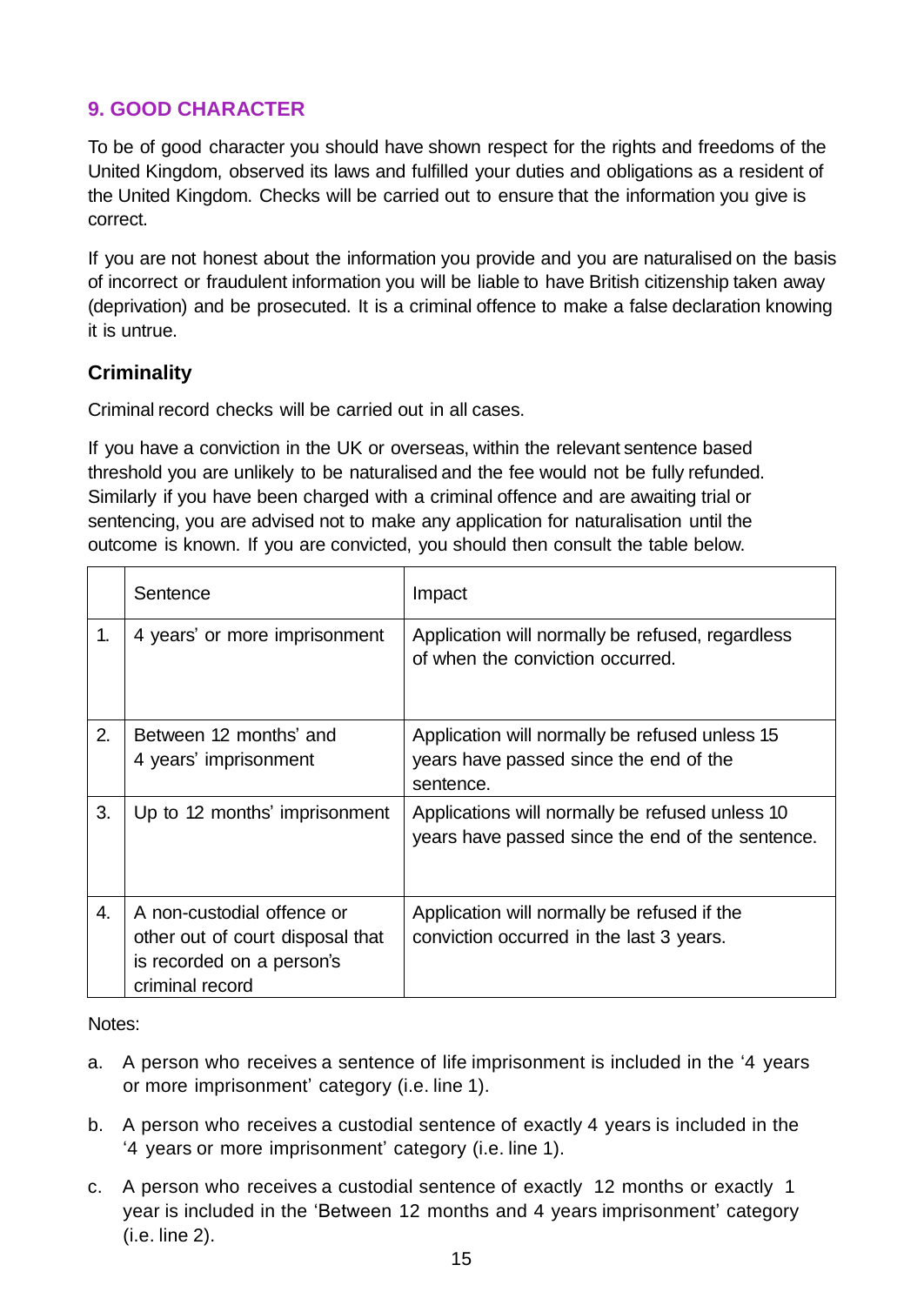## **9. GOOD CHARACTER**

To be of good character you should have shown respect for the rights and freedoms of the United Kingdom, observed its laws and fulfilled your duties and obligations as a resident of the United Kingdom. Checks will be carried out to ensure that the information you give is correct.

If you are not honest about the information you provide and you are naturalised on the basis of incorrect or fraudulent information you will be liable to have British citizenship taken away (deprivation) and be prosecuted. It is a criminal offence to make a false declaration knowing it is untrue.

## **Criminality**

Criminal record checks will be carried out in all cases.

If you have a conviction in the UK or overseas, within the relevant sentence based threshold you are unlikely to be naturalised and the fee would not be fully refunded. Similarly if you have been charged with a criminal offence and are awaiting trial or sentencing, you are advised not to make any application for naturalisation until the outcome is known. If you are convicted, you should then consult the table below.

|    | Sentence                                                                                                       | Impact                                                                                                |
|----|----------------------------------------------------------------------------------------------------------------|-------------------------------------------------------------------------------------------------------|
| 1. | 4 years' or more imprisonment                                                                                  | Application will normally be refused, regardless<br>of when the conviction occurred.                  |
| 2. | Between 12 months' and<br>4 years' imprisonment                                                                | Application will normally be refused unless 15<br>years have passed since the end of the<br>sentence. |
| 3. | Up to 12 months' imprisonment                                                                                  | Applications will normally be refused unless 10<br>years have passed since the end of the sentence.   |
| 4. | A non-custodial offence or<br>other out of court disposal that<br>is recorded on a person's<br>criminal record | Application will normally be refused if the<br>conviction occurred in the last 3 years.               |

Notes:

- a. A person who receives a sentence of life imprisonment is included in the '4 years or more imprisonment' category (i.e. line 1).
- b. A person who receives a custodial sentence of exactly 4 years is included in the '4 years or more imprisonment' category (i.e. line 1).
- c. A person who receives a custodial sentence of exactly 12 months or exactly 1 year is included in the 'Between 12 months and 4 years imprisonment' category (i.e. line 2).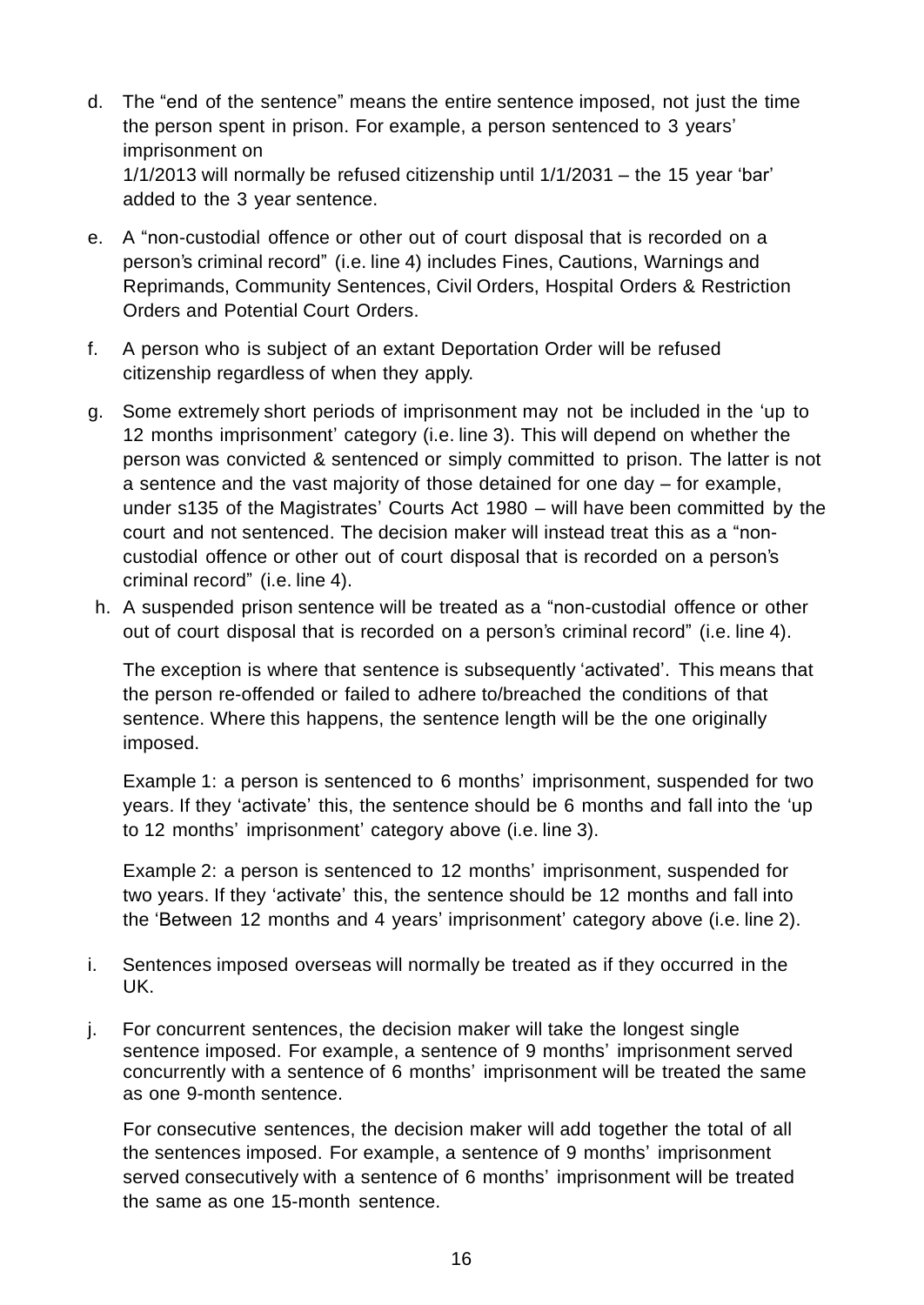d. The "end of the sentence" means the entire sentence imposed, not just the time the person spent in prison. For example, a person sentenced to 3 years' imprisonment on 1/1/2013 will normally be refused citizenship until 1/1/2031 – the 15 year 'bar'

added to the 3 year sentence.

- e. A "non-custodial offence or other out of court disposal that is recorded on a person's criminal record" (i.e. line 4) includes Fines, Cautions, Warnings and Reprimands, Community Sentences, Civil Orders, Hospital Orders & Restriction Orders and Potential Court Orders.
- f. A person who is subject of an extant Deportation Order will be refused citizenship regardless of when they apply.
- g. Some extremely short periods of imprisonment may not be included in the 'up to 12 months imprisonment' category (i.e. line 3). This will depend on whether the person was convicted & sentenced or simply committed to prison. The latter is not a sentence and the vast majority of those detained for one day – for example, under s135 of the Magistrates' Courts Act 1980 – will have been committed by the court and not sentenced. The decision maker will instead treat this as a "noncustodial offence or other out of court disposal that is recorded on a person's criminal record" (i.e. line 4).
- h. A suspended prison sentence will be treated as a "non-custodial offence or other out of court disposal that is recorded on a person's criminal record" (i.e. line 4).

The exception is where that sentence is subsequently 'activated'. This means that the person re-offended or failed to adhere to/breached the conditions of that sentence. Where this happens, the sentence length will be the one originally imposed.

Example 1: a person is sentenced to 6 months' imprisonment, suspended for two years. If they 'activate' this, the sentence should be 6 months and fall into the 'up to 12 months' imprisonment' category above (i.e. line 3).

Example 2: a person is sentenced to 12 months' imprisonment, suspended for two years. If they 'activate' this, the sentence should be 12 months and fall into the 'Between 12 months and 4 years' imprisonment' category above (i.e. line 2).

- i. Sentences imposed overseas will normally be treated as if they occurred in the UK.
- j. For concurrent sentences, the decision maker will take the longest single sentence imposed. For example, a sentence of 9 months' imprisonment served concurrently with a sentence of 6 months' imprisonment will be treated the same as one 9-month sentence.

For consecutive sentences, the decision maker will add together the total of all the sentences imposed. For example, a sentence of 9 months' imprisonment served consecutively with a sentence of 6 months' imprisonment will be treated the same as one 15-month sentence.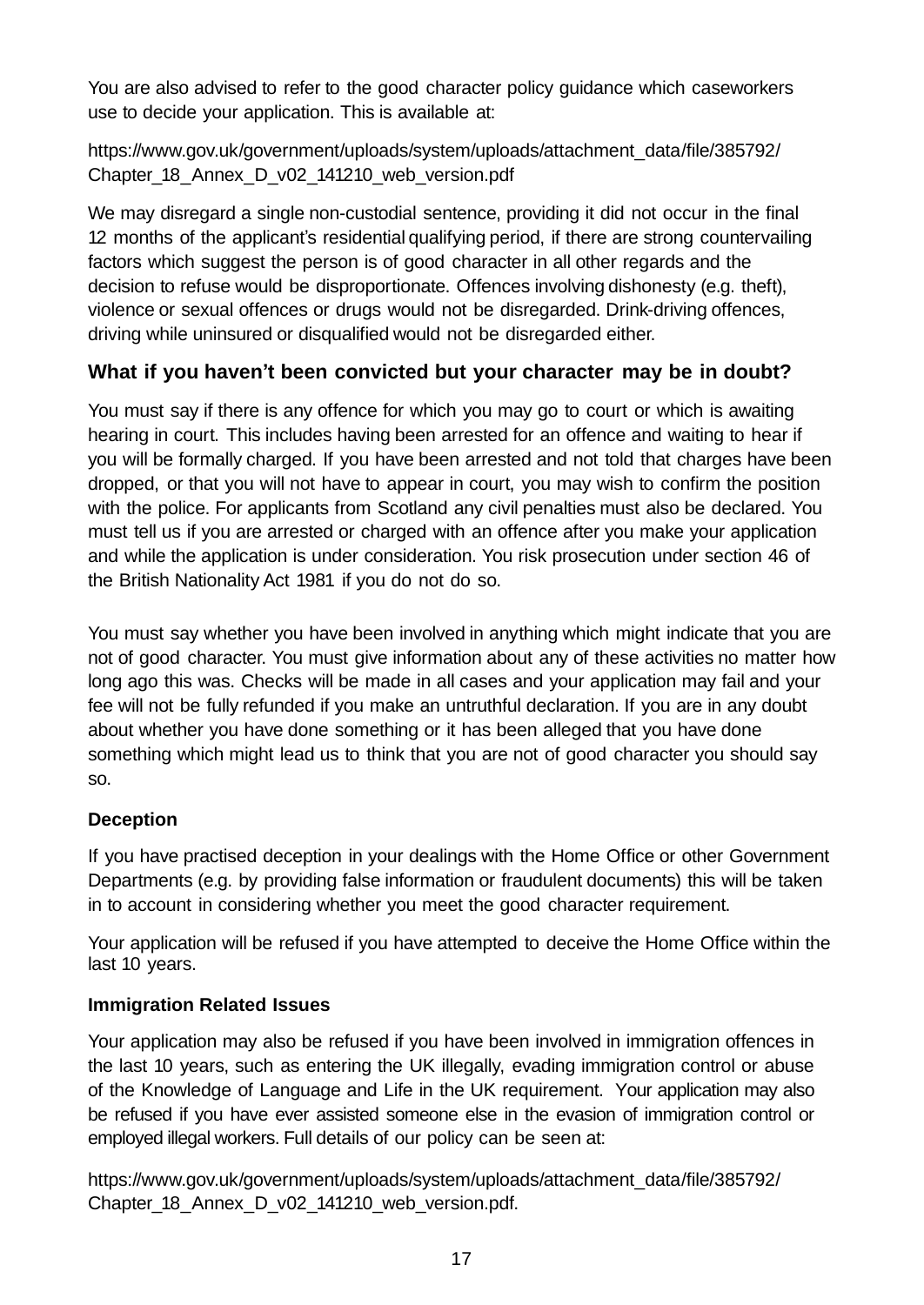You are also advised to refer to the good character policy guidance which caseworkers use to decide your application. This is available at:

[https://www.gov.uk/government/uploads/system/uploads/attachment\\_data/file/385792/](https://www.gov.uk/government/uploads/system/uploads/attachment_data/file/385792/Chapter_18_Annex_D_v02_141210_web_version.pdf)  [Chapter\\_18\\_Annex\\_D\\_v02\\_141210\\_web\\_version.pdf](https://www.gov.uk/government/uploads/system/uploads/attachment_data/file/385792/Chapter_18_Annex_D_v02_141210_web_version.pdf)

We may disregard a single non-custodial sentence, providing it did not occur in the final 12 months of the applicant's residential qualifying period, if there are strong countervailing factors which suggest the person is of good character in all other regards and the decision to refuse would be disproportionate. Offences involving dishonesty (e.g. theft), violence or sexual offences or drugs would not be disregarded. Drink-driving offences, driving while uninsured or disqualified would not be disregarded either.

## **What if you haven't been convicted but your character may be in doubt?**

You must say if there is any offence for which you may go to court or which is awaiting hearing in court. This includes having been arrested for an offence and waiting to hear if you will be formally charged. If you have been arrested and not told that charges have been dropped, or that you will not have to appear in court, you may wish to confirm the position with the police. For applicants from Scotland any civil penalties must also be declared. You must tell us if you are arrested or charged with an offence after you make your application and while the application is under consideration. You risk prosecution under section 46 of the British Nationality Act 1981 if you do not do so.

You must say whether you have been involved in anything which might indicate that you are not of good character. You must give information about any of these activities no matter how long ago this was. Checks will be made in all cases and your application may fail and your fee will not be fully refunded if you make an untruthful declaration. If you are in any doubt about whether you have done something or it has been alleged that you have done something which might lead us to think that you are not of good character you should say so.

#### **Deception**

If you have practised deception in your dealings with the Home Office or other Government Departments (e.g. by providing false information or fraudulent documents) this will be taken in to account in considering whether you meet the good character requirement.

Your application will be refused if you have attempted to deceive the Home Office within the last 10 years.

## **Immigration Related Issues**

Your application may also be refused if you have been involved in immigration offences in the last 10 years, such as entering the UK illegally, evading immigration control or abuse of the Knowledge of Language and Life in the UK requirement. Your application may also be refused if you have ever assisted someone else in the evasion of immigration control or employed illegal workers. Full details of our policy can be seen at:

[https://www.gov.uk/government/uploads/system/uploads/attachment\\_data/file/385792/](https://www.gov.uk/government/uploads/system/uploads/attachment_data/file/385792/Chapter_18_Annex_D_v02_141210_web_version.pdf)  Chapter 18 Annex D v02 141210 web version.pdf.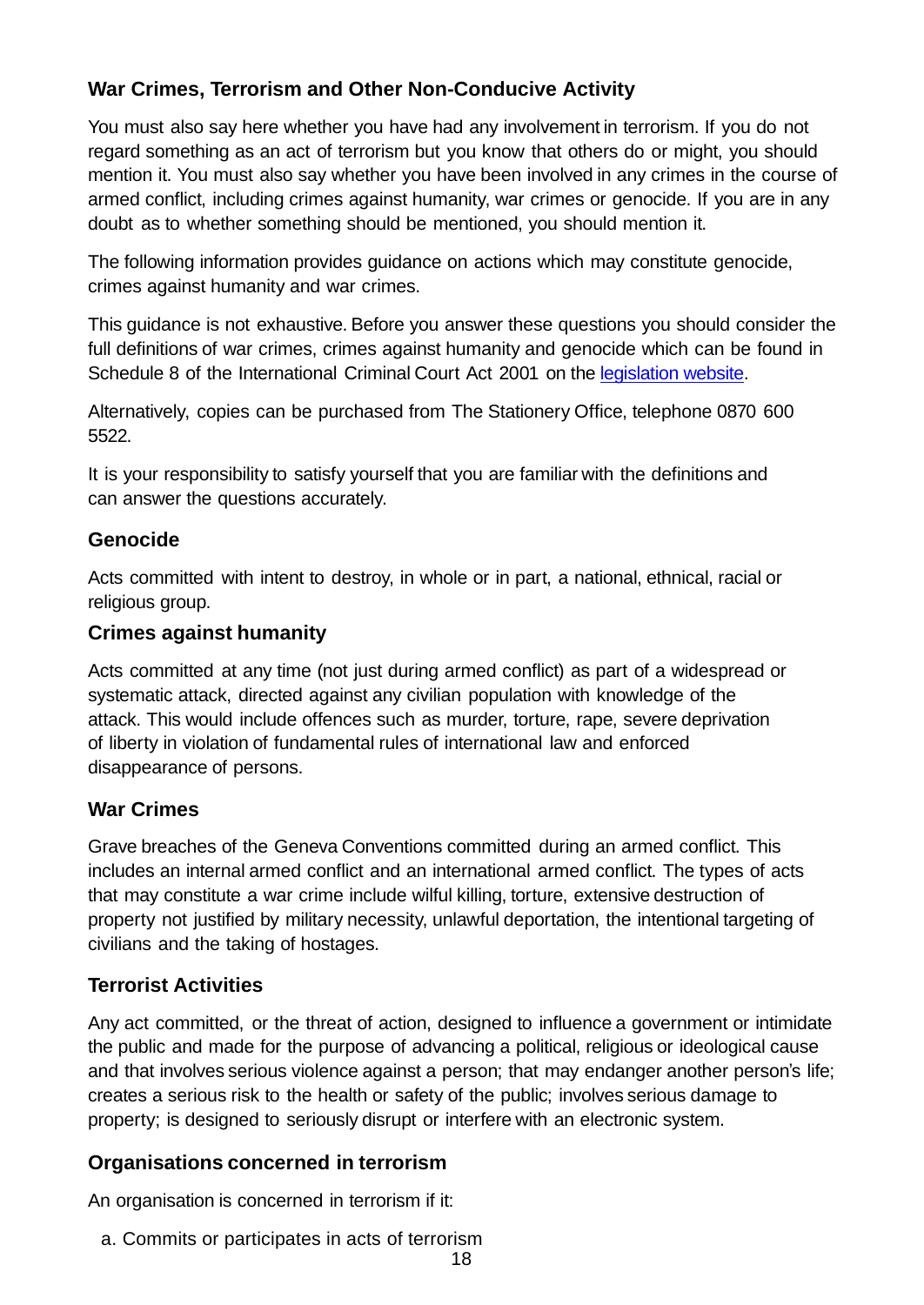## **War Crimes, Terrorism and Other Non-Conducive Activity**

You must also say here whether you have had any involvement in terrorism. If you do not regard something as an act of terrorism but you know that others do or might, you should mention it. You must also say whether you have been involved in any crimes in the course of armed conflict, including crimes against humanity, war crimes or genocide. If you are in any doubt as to whether something should be mentioned, you should mention it.

The following information provides guidance on actions which may constitute genocide, crimes against humanity and war crimes.

This guidance is not exhaustive. Before you answer these questions you should consider the full definitions of war crimes, crimes against humanity and genocide which can be found in Schedule 8 of the International Criminal Court Act 2001 on the [legislation website.](http://www.hmso.gov.uk/acts/acts2001/20010017.htm)

Alternatively, copies can be purchased from The Stationery Office, telephone 0870 600 5522.

It is your responsibility to satisfy yourself that you are familiar with the definitions and can answer the questions accurately.

### **Genocide**

Acts committed with intent to destroy, in whole or in part, a national, ethnical, racial or religious group.

### **Crimes against humanity**

Acts committed at any time (not just during armed conflict) as part of a widespread or systematic attack, directed against any civilian population with knowledge of the attack. This would include offences such as murder, torture, rape, severe deprivation of liberty in violation of fundamental rules of international law and enforced disappearance of persons.

## **War Crimes**

Grave breaches of the Geneva Conventions committed during an armed conflict. This includes an internal armed conflict and an international armed conflict. The types of acts that may constitute a war crime include wilful killing, torture, extensive destruction of property not justified by military necessity, unlawful deportation, the intentional targeting of civilians and the taking of hostages.

## **Terrorist Activities**

Any act committed, or the threat of action, designed to influence a government or intimidate the public and made for the purpose of advancing a political, religious or ideological cause and that involves serious violence against a person; that may endanger another person's life; creates a serious risk to the health or safety of the public; involves serious damage to property; is designed to seriously disrupt or interfere with an electronic system.

## **Organisations concerned in terrorism**

An organisation is concerned in terrorism if it:

a. Commits or participates in acts of terrorism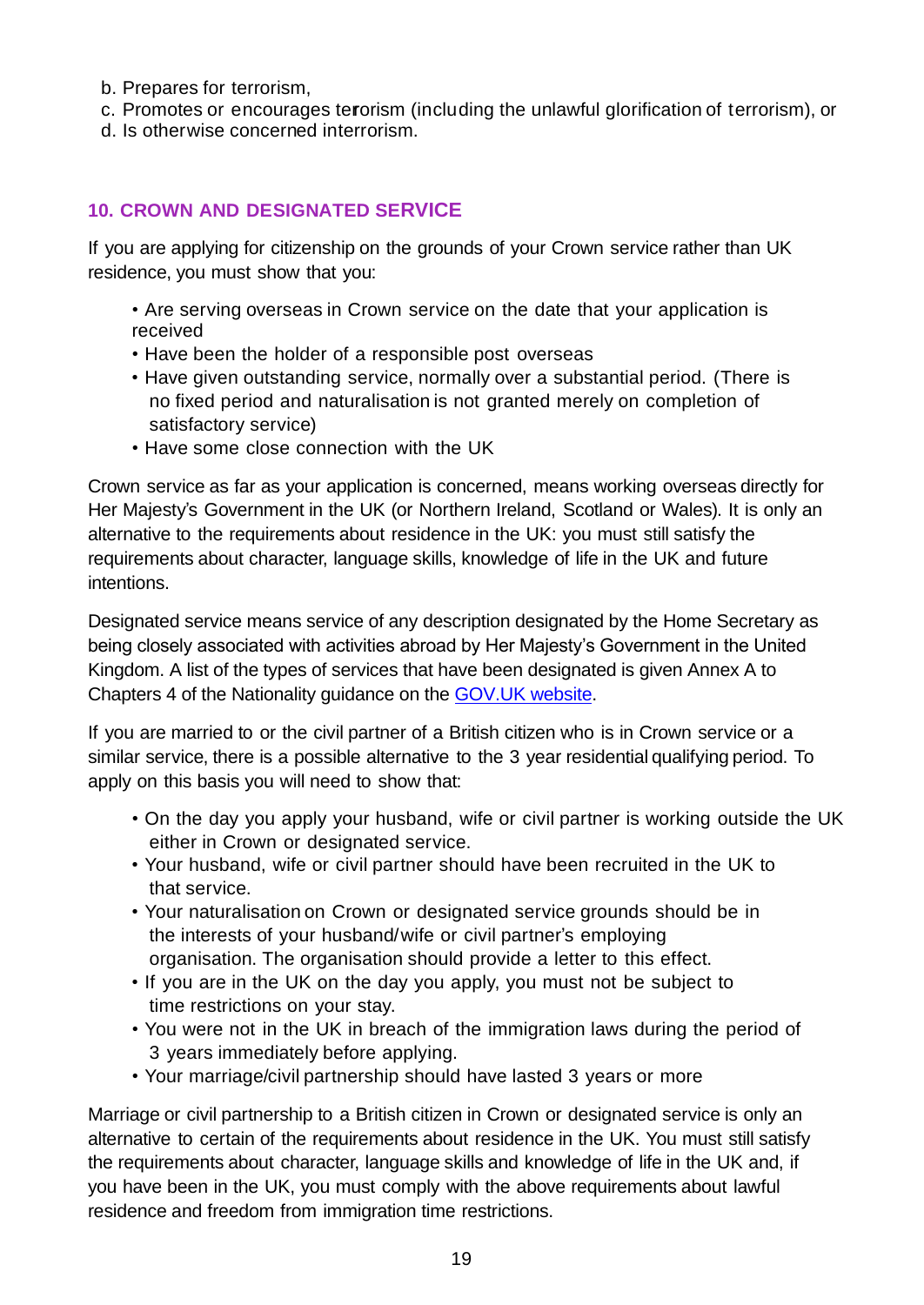- b. Prepares for terrorism,
- c. Promotes or encourages terorism (including the unlawful glorification of terrorism), or
- d. Is otherwise concerned interrorism.

## **10. CROWN AND DESIGNATED SERVICE**

If you are applying for citizenship on the grounds of your Crown service rather than UK residence, you must show that you:

• Are serving overseas in Crown service on the date that your application is received

- Have been the holder of a responsible post overseas
- Have given outstanding service, normally over a substantial period. (There is no fixed period and naturalisation is not granted merely on completion of satisfactory service)
- Have some close connection with the UK

Crown service as far as your application is concerned, means working overseas directly for Her Majesty's Government in the UK (or Northern Ireland, Scotland or Wales). It is only an alternative to the requirements about residence in the UK: you must still satisfy the requirements about character, language skills, knowledge of life in the UK and future intentions.

Designated service means service of any description designated by the Home Secretary as being closely associated with activities abroad by Her Majesty's Government in the United Kingdom. A list of the types of services that have been designated is given Annex A to Chapters 4 of the Nationality guidance on the [GOV.UK website.](https://www.gov.uk/government/publications/chapter-4-acquisition-by-birth-outside-the-uk-nationality-instructions)

If you are married to or the civil partner of a British citizen who is in Crown service or a similar service, there is a possible alternative to the 3 year residential qualifying period. To apply on this basis you will need to show that:

- On the day you apply your husband, wife or civil partner is working outside the UK either in Crown or designated service.
- Your husband, wife or civil partner should have been recruited in the UK to that service.
- Your naturalisation on Crown or designated service grounds should be in the interests of your husband/wife or civil partner's employing organisation. The organisation should provide a letter to this effect.
- If you are in the UK on the day you apply, you must not be subject to time restrictions on your stay.
- You were not in the UK in breach of the immigration laws during the period of 3 years immediately before applying.
- Your marriage/civil partnership should have lasted 3 years or more

Marriage or civil partnership to a British citizen in Crown or designated service is only an alternative to certain of the requirements about residence in the UK. You must still satisfy the requirements about character, language skills and knowledge of life in the UK and, if you have been in the UK, you must comply with the above requirements about lawful residence and freedom from immigration time restrictions.